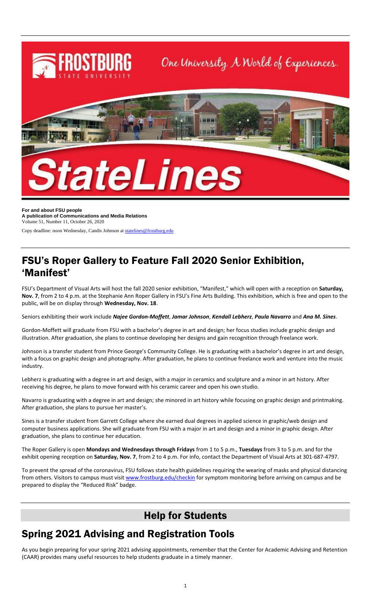

**For and about FSU people A publication of Communications and Media Relations** Volume 51, Number 11, October 26, 2020

Copy deadline: noon Wednesday, Candis Johnson a[t statelines@frostburg.edu](mailto:statelines@frostburg.edu)

#### FSU's Roper Gallery to Feature Fall 2020 Senior Exhibition, 'Manifest'

FSU's Department of Visual Arts will host the fall 2020 senior exhibition, "Manifest," which will open with a reception on **Saturday, Nov. 7**, from 2 to 4 p.m. at the Stephanie Ann Roper Gallery in FSU's Fine Arts Building. This exhibition, which is free and open to the public, will be on display through **Wednesday, Nov. 18**.

Seniors exhibiting their work include *Najee Gordon-Moffett*, *Jamar Johnson*, *Kendall Lebherz*, *Paula Navarro* and *Ana M. Sines*.

Gordon-Moffett will graduate from FSU with a bachelor's degree in art and design; her focus studies include graphic design and illustration. After graduation, she plans to continue developing her designs and gain recognition through freelance work.

Johnson is a transfer student from Prince George's Community College. He is graduating with a bachelor's degree in art and design, with a focus on graphic design and photography. After graduation, he plans to continue freelance work and venture into the music industry.

Lebherz is graduating with a degree in art and design, with a major in ceramics and sculpture and a minor in art history. After receiving his degree, he plans to move forward with his ceramic career and open his own studio.

Navarro is graduating with a degree in art and design; she minored in art history while focusing on graphic design and printmaking. After graduation, she plans to pursue her master's.

Sines is a transfer student from Garrett College where she earned dual degrees in applied science in graphic/web design and computer business applications. She will graduate from FSU with a major in art and design and a minor in graphic design. After graduation, she plans to continue her education.

The Roper Gallery is open **Mondays and Wednesdays through Fridays** from 1 to 5 p.m., **Tuesdays** from 3 to 5 p.m. and for the exhibit opening reception on **Saturday, Nov. 7**, from 2 to 4 p.m. For info, contact the Department of Visual Arts at 301-687-4797.

To prevent the spread of the coronavirus, FSU follows state health guidelines requiring the wearing of masks and physical distancing from others. Visitors to campus must visi[t www.frostburg.edu/checkin](http://www.frostburg.edu/checkin) for symptom monitoring before arriving on campus and be prepared to display the "Reduced Risk" badge.

## Help for Students

# Spring 2021 Advising and Registration Tools

As you begin preparing for your spring 2021 advising appointments, remember that the Center for Academic Advising and Retention (CAAR) provides many useful resources to help students graduate in a timely manner.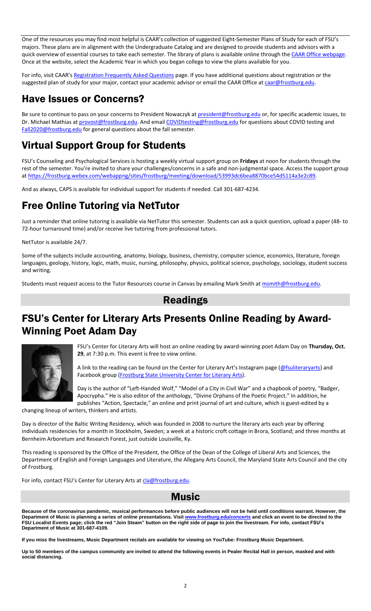One of the resources you may find most helpful is CAAR's collection of suggested Eight-Semester Plans of Study for each of FSU's majors. These plans are in alignment with the Undergraduate Catalog and are designed to provide students and advisors with a quick overview of essential courses to take each semester. The library of plans is available online through the [CAAR Office webpage.](https://www.frostburg.edu/academics/academic-success-network/Center-for-Academic-Advising-and-Retention/8-semester-plans/index.php) Once at the website, select the Academic Year in which you began college to view the plans available for you.

For info, visit CAAR's [Registration Frequently Asked Questions](https://www.frostburg.edu/academics/academic-success-network/Center-for-Academic-Advising-and-Retention/registration-frequently-asked-questions.php) page. If you have additional questions about registration or the suggested plan of study for your major, contact your academic advisor or email the CAAR Office at [caar@frostburg.edu.](mailto:caar@frostburg.edu)

# Have Issues or Concerns?

Be sure to continue to pass on your concerns to President Nowaczyk a[t president@frostburg.edu](mailto:president@frostburg.edu) or, for specific academic issues, to Dr. Michael Mathias a[t provost@frostburg.edu.](mailto:provost@frostburg.edu) And emai[l COVIDtesting@frostburg.edu](mailto:COVIDtesting@frostburg.edu) for questions about COVID testing and [Fall2020@frostburg.edu](mailto:Fall2020@frostburg.edu) for general questions about the fall semester.

# Virtual Support Group for Students

FSU's Counseling and Psychological Services is hosting a weekly virtual support group on **Fridays** at noon for students through the rest of the semester. You're invited to share your challenges/concerns in a safe and non-judgmental space. Access the support group a[t https://frostburg.webex.com/webappng/sites/frostburg/meeting/download/53993dc6bea8870bce54d5114a3e2c89.](https://frostburg.webex.com/webappng/sites/frostburg/meeting/download/53993dc6bea8870bce54d5114a3e2c89)

And as always, CAPS is available for individual support for students if needed. Call 301-687-4234.

# Free Online Tutoring via NetTutor

Just a reminder that online tutoring is available via NetTutor this semester. Students can ask a quick question, upload a paper (48- to 72-hour turnaround time) and/or receive live tutoring from professional tutors.

NetTutor is available 24/7.

Some of the subjects include accounting, anatomy, biology, business, chemistry, computer science, economics, literature, foreign languages, geology, history, logic, math, music, nursing, philosophy, physics, political science, psychology, sociology, student success and writing.

Students must request access to the Tutor Resources course in Canvas by emailing Mark Smith a[t msmith@frostburg.edu.](mailto:msmith@frostburg.edu)

#### Readings

## FSU's Center for Literary Arts Presents Online Reading by Award-Winning Poet Adam Day



FSU's Center for Literary Arts will host an online reading by award-winning poet Adam Day on **Thursday, Oct. 29**, at 7:30 p.m. This event is free to view online.

A link to the reading can be found on the Center for Literary Art's Instagram page ([@fsuliteraryarts\)](https://www.instagram.com/fsuliteraryarts) and Facebook group [\(Frostburg State University Center for Literary Arts\)](https://www.facebook.com/groups/174701457615).

Day is the author of "Left-Handed Wolf," "Model of a City in Civil War" and a chapbook of poetry, "Badger, Apocrypha." He is also editor of the anthology, "Divine Orphans of the Poetic Project." In addition, he publishes "Action, Spectacle," an online and print journal of art and culture, which is guest-edited by a

changing lineup of writers, thinkers and artists.

Day is director of the Baltic Writing Residency, which was founded in 2008 to nurture the literary arts each year by offering individuals residencies for a month in Stockholm, Sweden; a week at a historic croft cottage in Brora, Scotland; and three months at Bernheim Arboretum and Research Forest, just outside Louisville, Ky.

This reading is sponsored by the Office of the President, the Office of the Dean of the College of Liberal Arts and Sciences, the Department of English and Foreign Languages and Literature, the Allegany Arts Council, the Maryland State Arts Council and the city of Frostburg.

For info, contact FSU's Center for Literary Arts at [cla@frostburg.edu.](mailto:cla@frostburg.edu)



**Because of the coronavirus pandemic, musical performances before public audiences will not be held until conditions warrant. However, the Department of Music is planning a series of online presentations. Visit [www.frostburg.edu/concerts](http://www.frostburg.edu/concerts) and click an event to be directed to the FSU Localist Events page; click the red "Join Steam" button on the right side of page to join the livestream. For info, contact FSU's Department of Music at 301-687-4109.**

**If you miss the livestreams, Music Department recitals are available for viewing on YouTube: Frostburg Music Department.**

**Up to 50 members of the campus community are invited to attend the following events in Pealer Recital Hall in person, masked and with social distancing.**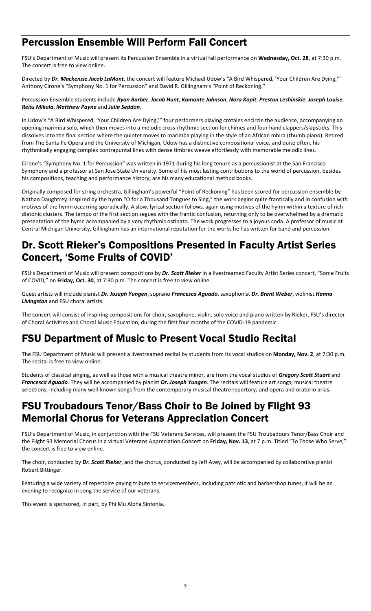#### Percussion Ensemble Will Perform Fall Concert

FSU's Department of Music will present its Percussion Ensemble in a virtual fall performance on **Wednesday, Oct. 28**, at 7:30 p.m. The concert is free to view online.

Directed by *Dr. Mackenzie Jacob LaMont*, the concert will feature Michael Udow's "A Bird Whispered, 'Your Children Are Dying,'" Anthony Cirone's "Symphony No. 1 for Percussion" and David R. Gillingham's "Point of Reckoning."

Percussion Ensemble students include *Ryan Barber*, *Jacob Hunt*, *Kamonte Johnson*, *Nora Kopit*, *Preston Leshinskie*, *Joseph Louise*, *Reiss Mikula*, *Matthew Payne* and *Julia Seddon*.

In Udow's "A Bird Whispered, 'Your Children Are Dying,'" four performers playing crotales encircle the audience, accompanying an opening marimba solo, which then moves into a melodic cross-rhythmic section for chimes and four hand clappers/slapsticks. This dissolves into the final section where the quintet moves to marimba playing in the style of an African mbira (thumb piano). Retired from The Santa Fe Opera and the University of Michigan, Udow has a distinctive compositional voice, and quite often, his rhythmically engaging complex contrapuntal lines with dense timbres weave effortlessly with memorable melodic lines.

Cirone's "Symphony No. 1 for Percussion" was written in 1971 during his long tenure as a percussionist at the San Francisco Symphony and a professor at San Jose State University. Some of his most lasting contributions to the world of percussion, besides his compositions, teaching and performance history, are his many educational method books.

Originally composed for string orchestra, Gillingham's powerful "Point of Reckoning" has been scored for percussion ensemble by Nathan Daughtrey. Inspired by the hymn "O for a Thousand Tongues to Sing," the work begins quite frantically and in confusion with motives of the hymn occurring sporadically. A slow, lyrical section follows, again using motives of the hymn within a texture of rich diatonic clusters. The tempo of the first section segues with the frantic confusion, returning only to be overwhelmed by a dramatic presentation of the hymn accompanied by a very rhythmic ostinato. The work progresses to a joyous coda. A professor of music at Central Michigan University, Gillingham has an international reputation for the works he has written for band and percussion.

#### Dr. Scott Rieker's Compositions Presented in Faculty Artist Series Concert, 'Some Fruits of COVID'

FSU's Department of Music will present compositions by *Dr. Scott Rieker* in a livestreamed Faculty Artist Series concert, "Some Fruits of COVID," on **Friday, Oct. 30**, at 7:30 p.m. The concert is free to view online.

Guest artists will include pianist *Dr. Joseph Yungen*, soprano *Francesca Aguado*, saxophonist *Dr. Brent Weber*, violinist *Hanna Livingston* and FSU choral artists.

The concert will consist of inspiring compositions for choir, saxophone, violin, solo voice and piano written by Rieker, FSU's director of Choral Activities and Choral Music Education, during the first four months of the COVID-19 pandemic.

# FSU Department of Music to Present Vocal Studio Recital

The FSU Department of Music will present a livestreamed recital by students from its vocal studios on **Monday, Nov. 2**, at 7:30 p.m. The recital is free to view online.

Students of classical singing, as well as those with a musical theatre minor, are from the vocal studios of *Gregory Scott Stuart* and *Francesca Aguado*. They will be accompanied by pianist *Dr. Joseph Yungen*. The recitals will feature art songs; musical theatre selections, including many well-known songs from the contemporary musical theatre repertory; and opera and oratorio arias.

#### FSU Troubadours Tenor/Bass Choir to Be Joined by Flight 93 Memorial Chorus for Veterans Appreciation Concert

FSU's Department of Music, in conjunction with the FSU Veterans Services, will present the FSU Troubadours Tenor/Bass Choir and the Flight 93 Memorial Chorus in a virtual Veterans Appreciation Concert on **Friday, Nov. 13**, at 7 p.m. Titled "To Those Who Serve," the concert is free to view online.

The choir, conducted by *Dr. Scott Rieker*, and the chorus, conducted by Jeff Avey, will be accompanied by collaborative pianist Robert Bittinger.

Featuring a wide variety of repertoire paying tribute to servicemembers, including patriotic and barbershop tunes, it will be an evening to recognize in song the service of our veterans.

This event is sponsored, in part, by Phi Mu Alpha Sinfonia.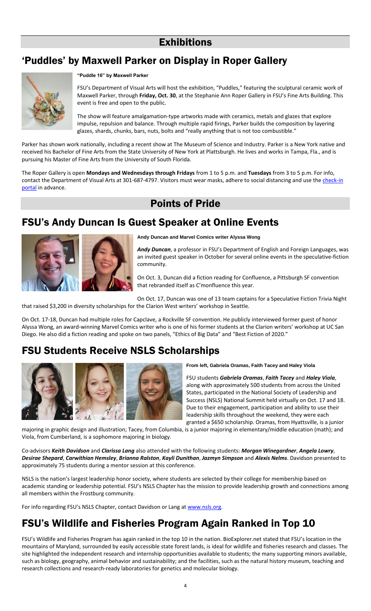#### **Exhibitions**

## 'Puddles' by Maxwell Parker on Display in Roper Gallery



**"Puddle 16" by Maxwell Parker**

FSU's Department of Visual Arts will host the exhibition, "Puddles," featuring the sculptural ceramic work of Maxwell Parker, through **Friday, Oct. 30**, at the Stephanie Ann Roper Gallery in FSU's Fine Arts Building. This event is free and open to the public.

The show will feature amalgamation-type artworks made with ceramics, metals and glazes that explore impulse, repulsion and balance. Through multiple rapid firings, Parker builds the composition by layering glazes, shards, chunks, bars, nuts, bolts and "really anything that is not too combustible."

Parker has shown work nationally, including a recent show at The Museum of Science and Industry. Parker is a New York native and received his Bachelor of Fine Arts from the State University of New York at Plattsburgh. He lives and works in Tampa, Fla., and is pursuing his Master of Fine Arts from the University of South Florida.

The Roper Gallery is open **Mondays and Wednesdays through Fridays** from 1 to 5 p.m. and **Tuesdays** from 3 to 5 p.m. For info, contact the Department of Visual Arts at 301-687-4797. Visitors must wear masks, adhere to social distancing and use the *check-in* [portal](https://itoc.frostburg.edu/checkin/) in advance.

# Points of Pride

#### FSU's Andy Duncan Is Guest Speaker at Online Events



**Andy Duncan and Marvel Comics writer Alyssa Wong**

*Andy Duncan*, a professor in FSU's Department of English and Foreign Languages, was an invited guest speaker in October for several online events in the speculative-fiction community.

On Oct. 3, Duncan did a fiction reading for Confluence, a Pittsburgh SF convention that rebranded itself as C'monfluence this year.

On Oct. 17, Duncan was one of 13 team captains for a Speculative Fiction Trivia Night that raised \$3,200 in diversity scholarships for the Clarion West writers' workshop in Seattle.

On Oct. 17-18, Duncan had multiple roles for Capclave, a Rockville SF convention. He publicly interviewed former guest of honor Alyssa Wong, an award-winning Marvel Comics writer who is one of his former students at the Clarion writers' workshop at UC San Diego. He also did a fiction reading and spoke on two panels, "Ethics of Big Data" and "Best Fiction of 2020."

## FSU Students Receive NSLS Scholarships



**From left, Gabriela Oramas, Faith Tacey and Haley Viola**

FSU students *Gabriela Oramas*, *Faith Tacey* and *Haley Viola*, along with approximately 500 students from across the United States, participated in the National Society of Leadership and Success (NSLS) National Summit held virtually on Oct. 17 and 18. Due to their engagement, participation and ability to use their leadership skills throughout the weekend, they were each granted a \$650 scholarship. Oramas, from Hyattsville, is a junior

majoring in graphic design and illustration; Tacey, from Columbia, is a junior majoring in elementary/middle education (math); and Viola, from Cumberland, is a sophomore majoring in biology.

Co-advisors *Keith Davidson* and *Clarissa Lang* also attended with the following students: *Morgan Winegardner*, *Angela Lowry*, *Desirae Shepard*, *Carwithian Hemsley*, *Brianna Ralston*, *Kayli Dunithan*, *Jazmyn Simpson* and *Alexis Nelms*. Davidson presented to approximately 75 students during a mentor session at this conference.

NSLS is the nation's largest leadership honor society, where students are selected by their college for membership based on academic standing or leadership potential. FSU's NSLS Chapter has the mission to provide leadership growth and connections among all members within the Frostburg community.

For info regarding FSU's NSLS Chapter, contact Davidson or Lang a[t www.nsls.org.](http://www.nsls.org/)

## FSU's Wildlife and Fisheries Program Again Ranked in Top 10

FSU's Wildlife and Fisheries Program has again ranked in the top 10 in the nation. BioExplorer.net stated that FSU's location in the mountains of Maryland, surrounded by easily accessible state forest lands, is ideal for wildlife and fisheries research and classes. The site highlighted the independent research and internship opportunities available to students; the many supporting minors available, such as biology, geography, animal behavior and sustainability; and the facilities, such as the natural history museum, teaching and research collections and research-ready laboratories for genetics and molecular biology.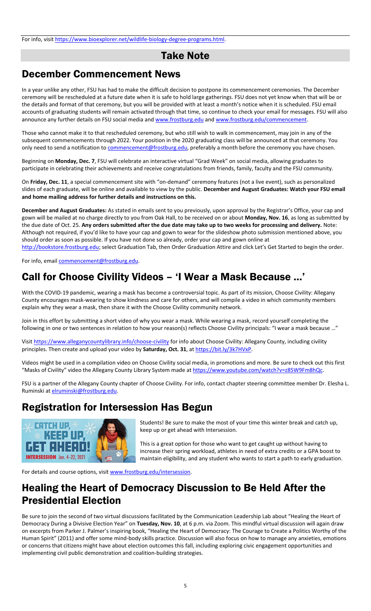#### Take Note

#### December Commencement News

In a year unlike any other, FSU has had to make the difficult decision to postpone its commencement ceremonies. The December ceremony will be rescheduled at a future date when it is safe to hold large gatherings. FSU does not yet know when that will be or the details and format of that ceremony, but you will be provided with at least a month's notice when it is scheduled. FSU email accounts of graduating students will remain activated through that time, so continue to check your email for messages. FSU will also announce any further details on FSU social media an[d www.frostburg.edu](http://www.frostburg.edu/) and [www.frostburg.edu/commencement.](http://www.frostburg.edu/commencement)

Those who cannot make it to that rescheduled ceremony, but who still wish to walk in commencement, may join in any of the subsequent commencements through 2022. Your position in the 2020 graduating class will be announced at that ceremony. You only need to send a notification to *commencement@frostburg.edu*, preferably a month before the ceremony you have chosen.

Beginning on **Monday, Dec. 7**, FSU will celebrate an interactive virtual "Grad Week" on social media, allowing graduates to participate in celebrating their achievements and receive congratulations from friends, family, faculty and the FSU community.

On **Friday, Dec. 11**, a special commencement site with "on-demand" ceremony features (not a live event), such as personalized slides of each graduate, will be online and available to view by the public. **December and August Graduates: Watch your FSU email and home mailing address for further details and instructions on this.**

**December and August Graduates:** As stated in emails sent to you previously, upon approval by the Registrar's Office, your cap and gown will be mailed at no charge directly to you from Oak Hall, to be received on or about **Monday, Nov. 16**, as long as submitted by the due date of Oct. 25. **Any orders submitted after the due date may take up to two weeks for processing and delivery.** Note: Although not required, if you'd like to have your cap and gown to wear for the slideshow photo submission mentioned above, you should order as soon as possible. If you have not done so already, order your cap and gown online at [http://bookstore.frostburg.edu;](http://bookstore.frostburg.edu/) select Graduation Tab, then Order Graduation Attire and click Let's Get Started to begin the order.

For info, email [commencement@frostburg.edu.](mailto:commencement@frostburg.edu)

## Call for Choose Civility Videos – 'I Wear a Mask Because …'

With the COVID-19 pandemic, wearing a mask has become a controversial topic. As part of its mission, Choose Civility: Allegany County encourages mask-wearing to show kindness and care for others, and will compile a video in which community members explain why they wear a mask, then share it with the Choose Civility community network.

Join in this effort by submitting a short video of why you wear a mask. While wearing a mask, record yourself completing the following in one or two sentences in relation to how your reason(s) reflects Choose Civility principals: "I wear a mask because …"

Visit<https://www.alleganycountylibrary.info/choose-civility></u> for info about Choose Civility: Allegany County, including civility principles. Then create and upload your video by **Saturday, Oct. 31**, at [https://bit.ly/3k7HVxP.](https://bit.ly/3k7HVxP)

Videos might be used in a compilation video on Choose Civility social media, in promotions and more. Be sure to check out this first "Masks of Civility" video the Allegany County Library System made at [https://www.youtube.com/watch?v=z85W9Fm8hQc.](https://www.youtube.com/watch?v=z85W9Fm8hQc)

FSU is a partner of the Allegany County chapter of Choose Civility. For info, contact chapter steering committee member Dr. Elesha L. Ruminski a[t elruminski@frostburg.edu.](mailto:elruminski@frostburg.edu)

#### Registration for Intersession Has Begun



Students! Be sure to make the most of your time this winter break and catch up, keep up or get ahead with Intersession.

This is a great option for those who want to get caught up without having to increase their spring workload, athletes in need of extra credits or a GPA boost to maintain eligibility, and any student who wants to start a path to early graduation.

For details and course options, visit [www.frostburg.edu/intersession.](http://www.frostburg.edu/intersession)

#### Healing the Heart of Democracy Discussion to Be Held After the Presidential Election

Be sure to join the second of two virtual discussions facilitated by the Communication Leadership Lab about "Healing the Heart of Democracy During a Divisive Election Year" on **Tuesday, Nov. 10**, at 6 p.m. via Zoom. This mindful virtual discussion will again draw on excerpts from Parker J. Palmer's inspiring book, "Healing the Heart of Democracy: The Courage to Create a Politics Worthy of the Human Spirit" (2011) and offer some mind-body skills practice. Discussion will also focus on how to manage any anxieties, emotions or concerns that citizens might have about election outcomes this fall, including exploring civic engagement opportunities and implementing civil public demonstration and coalition-building strategies.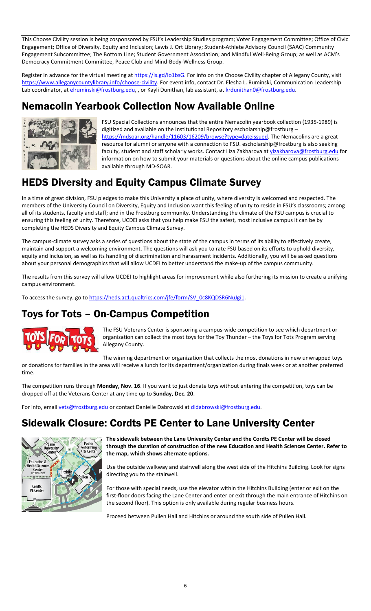This Choose Civility session is being cosponsored by FSU's Leadership Studies program; Voter Engagement Committee; Office of Civic Engagement; Office of Diversity, Equity and Inclusion; Lewis J. Ort Library; Student-Athlete Advisory Council (SAAC) Community Engagement Subcommittee; The Bottom Line; Student Government Association; and Mindful Well-Being Group; as well as ACM's Democracy Commitment Committee, Peace Club and Mind-Body-Wellness Group.

Register in advance for the virtual meeting a[t https://is.gd/lo1bsG.](https://is.gd/lo1bsG) For info on the Choose Civility chapter of Allegany County, visit https://www.alleganycountylibrary.info/choose-civility</u>. For event info, contact Dr. Elesha L. Ruminski, Communication Leadership Lab coordinator, a[t elruminski@frostburg.edu,](mailto:elruminski@frostburg.edu) , or Kayli Dunithan, lab assistant, at [krdunithan0@frostburg.edu.](mailto:krdunithan0@frostburg.edu)

## Nemacolin Yearbook Collection Now Available Online



FSU Special Collections announces that the entire Nemacolin yearbook collection (1935-1989) is digitized and available on the Institutional Repository escholarship@frostburg – https://mdsoar.org/handle/11603/16209/browse?type=dateissued</u>. The Nemacolins are a great resource for alumni or anyone with a connection to FSU. escholarship@frostburg is also seeking faculty, student and staff scholarly works. Contact Liza Zakharova a[t ylzakharova@frostburg.edu](mailto:ylzakharova@frostburg.edu) for information on how to submit your materials or questions about the online campus publications available through MD-SOAR.

# HEDS Diversity and Equity Campus Climate Survey

In a time of great division, FSU pledges to make this University a place of unity, where diversity is welcomed and respected. The members of the University Council on Diversity, Equity and Inclusion want this feeling of unity to reside in FSU's classrooms; among all of its students, faculty and staff; and in the Frostburg community. Understanding the climate of the FSU campus is crucial to ensuring this feeling of unity. Therefore, UCDEI asks that you help make FSU the safest, most inclusive campus it can be by completing the HEDS Diversity and Equity Campus Climate Survey.

The campus-climate survey asks a series of questions about the state of the campus in terms of its ability to effectively create, maintain and support a welcoming environment. The questions will ask you to rate FSU based on its efforts to uphold diversity, equity and inclusion, as well as its handling of discrimination and harassment incidents. Additionally, you will be asked questions about your personal demographics that will allow UCDEI to better understand the make-up of the campus community.

The results from this survey will allow UCDEI to highlight areas for improvement while also furthering its mission to create a unifying campus environment.

To access the survey, go to https://heds.az1.qualtrics.com/jfe/form/SV\_0c8KQDSR6NuJgi1.

## Toys for Tots – On-Campus Competition



The FSU Veterans Center is sponsoring a campus-wide competition to see which department or organization can collect the most toys for the Toy Thunder – the Toys for Tots Program serving Allegany County.

The winning department or organization that collects the most donations in new unwrapped toys or donations for families in the area will receive a lunch for its department/organization during finals week or at another preferred time.

The competition runs through **Monday, Nov. 16**. If you want to just donate toys without entering the competition, toys can be dropped off at the Veterans Center at any time up to **Sunday, Dec. 20**.

For info, email [vets@frostburg.edu](mailto:vets@frostburg.edu) or contact Danielle Dabrowski at dldabrowski@frostburg.edu.

## Sidewalk Closure: Cordts PE Center to Lane University Center



**The sidewalk between the Lane University Center and the Cordts PE Center will be closed through the duration of construction of the new Education and Health Sciences Center. Refer to the map, which shows alternate options.**

Use the outside walkway and stairwell along the west side of the Hitchins Building. Look for signs directing you to the stairwell.

For those with special needs, use the elevator within the Hitchins Building (enter or exit on the first-floor doors facing the Lane Center and enter or exit through the main entrance of Hitchins on the second floor). This option is only available during regular business hours.

Proceed between Pullen Hall and Hitchins or around the south side of Pullen Hall.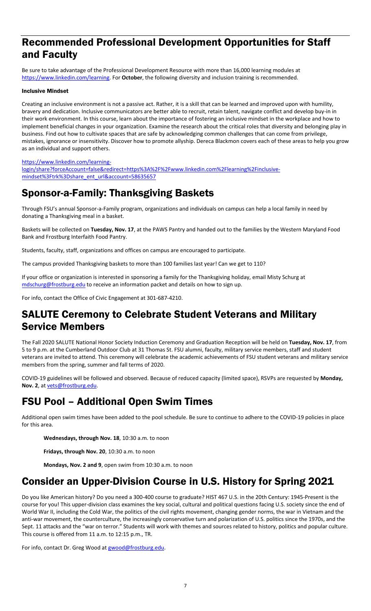#### Recommended Professional Development Opportunities for Staff and Faculty

Be sure to take advantage of the Professional Development Resource with more than 16,000 learning modules at [https://www.linkedin.com/learning.](https://www.linkedin.com/learning) For **October**, the following diversity and inclusion training is recommended.

#### Inclusive Mindset

Creating an inclusive environment is not a passive act. Rather, it is a skill that can be learned and improved upon with humility, bravery and dedication. Inclusive communicators are better able to recruit, retain talent, navigate conflict and develop buy-in in their work environment. In this course, learn about the importance of fostering an inclusive mindset in the workplace and how to implement beneficial changes in your organization. Examine the research about the critical roles that diversity and belonging play in business. Find out how to cultivate spaces that are safe by acknowledging common challenges that can come from privilege, mistakes, ignorance or insensitivity. Discover how to promote allyship. Dereca Blackmon covers each of these areas to help you grow as an individual and support others.

[https://www.linkedin.com/learning-](https://www.linkedin.com/learning-login/share?forceAccount=false&redirect=https%3A%2F%2Fwww.linkedin.com%2Flearning%2Finclusive-mindset%3Ftrk%3Dshare_ent_url&account=58635657)

[login/share?forceAccount=false&redirect=https%3A%2F%2Fwww.linkedin.com%2Flearning%2Finclusive](https://www.linkedin.com/learning-login/share?forceAccount=false&redirect=https%3A%2F%2Fwww.linkedin.com%2Flearning%2Finclusive-mindset%3Ftrk%3Dshare_ent_url&account=58635657)[mindset%3Ftrk%3Dshare\\_ent\\_url&account=58635657](https://www.linkedin.com/learning-login/share?forceAccount=false&redirect=https%3A%2F%2Fwww.linkedin.com%2Flearning%2Finclusive-mindset%3Ftrk%3Dshare_ent_url&account=58635657)

## Sponsor-a-Family: Thanksgiving Baskets

Through FSU's annual Sponsor-a-Family program, organizations and individuals on campus can help a local family in need by donating a Thanksgiving meal in a basket.

Baskets will be collected on **Tuesday, Nov. 17**, at the PAWS Pantry and handed out to the families by the Western Maryland Food Bank and Frostburg Interfaith Food Pantry.

Students, faculty, staff, organizations and offices on campus are encouraged to participate.

The campus provided Thanksgiving baskets to more than 100 families last year! Can we get to 110?

If your office or organization is interested in sponsoring a family for the Thanksgiving holiday, email Misty Schurg at [mdschurg@frostburg.edu](mailto:mdschurg@frostburg.edu) to receive an information packet and details on how to sign up.

For info, contact the Office of Civic Engagement at 301-687-4210.

#### SALUTE Ceremony to Celebrate Student Veterans and Military Service Members

The Fall 2020 SALUTE National Honor Society Induction Ceremony and Graduation Reception will be held on **Tuesday, Nov. 17**, from 5 to 9 p.m. at the Cumberland Outdoor Club at 31 Thomas St. FSU alumni, faculty, military service members, staff and student veterans are invited to attend. This ceremony will celebrate the academic achievements of FSU student veterans and military service members from the spring, summer and fall terms of 2020.

COVID-19 guidelines will be followed and observed. Because of reduced capacity (limited space), RSVPs are requested by **Monday, Nov. 2**, at [vets@frostburg.edu.](mailto:vets@frostburg.edu) 

## FSU Pool – Additional Open Swim Times

Additional open swim times have been added to the pool schedule. Be sure to continue to adhere to the COVID-19 policies in place for this area.

**Wednesdays, through Nov. 18**, 10:30 a.m. to noon

**Fridays, through Nov. 20**, 10:30 a.m. to noon

**Mondays, Nov. 2 and 9**, open swim from 10:30 a.m. to noon

## Consider an Upper-Division Course in U.S. History for Spring 2021

Do you like American history? Do you need a 300-400 course to graduate? HIST 467 U.S. in the 20th Century: 1945-Present is the course for you! This upper-division class examines the key social, cultural and political questions facing U.S. society since the end of World War II, including the Cold War, the politics of the civil rights movement, changing gender norms, the war in Vietnam and the anti-war movement, the counterculture, the increasingly conservative turn and polarization of U.S. politics since the 1970s, and the Sept. 11 attacks and the "war on terror." Students will work with themes and sources related to history, politics and popular culture. This course is offered from 11 a.m. to 12:15 p.m., TR.

For info, contact Dr. Greg Wood a[t gwood@frostburg.edu.](mailto:gwood@frostburg.edu)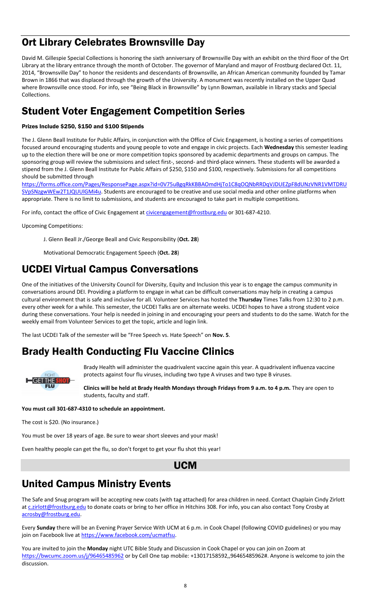## Ort Library Celebrates Brownsville Day

David M. Gillespie Special Collections is honoring the sixth anniversary of Brownsville Day with an exhibit on the third floor of the Ort Library at the library entrance through the month of October. The governor of Maryland and mayor of Frostburg declared Oct. 11, 2014, "Brownsville Day" to honor the residents and descendants of Brownsville, an African American community founded by Tamar Brown in 1866 that was displaced through the growth of the University. A monument was recently installed on the Upper Quad where Brownsville once stood. For info, see "Being Black in Brownsville" by Lynn Bowman, available in library stacks and Special Collections.

## Student Voter Engagement Competition Series

#### Prizes Include \$250, \$150 and \$100 Stipends

The J. Glenn Beall Institute for Public Affairs, in conjunction with the Office of Civic Engagement, is hosting a series of competitions focused around encouraging students and young people to vote and engage in civic projects. Each **Wednesday** this semester leading up to the election there will be one or more competition topics sponsored by academic departments and groups on campus. The sponsoring group will review the submissions and select first-, second- and third-place winners. These students will be awarded a stipend from the J. Glenn Beall Institute for Public Affairs of \$250, \$150 and \$100, respectively. Submissions for all competitions should be submitted through

[https://forms.office.com/Pages/ResponsePage.aspx?id=0V75uBgqRkKBBAOmdHjTo1C8qOQNbRRDqVJDUEZpF8dUNzVNR1VMTDRU](https://forms.office.com/Pages/ResponsePage.aspx?id=0V75uBgqRkKBBAOmdHjTo1C8qOQNbRRDqVJDUEZpF8dUNzVNR1VMTDRUSVpSNzgwWEw2T1JQUUlGMi4u) [SVpSNzgwWEw2T1JQUUlGMi4u.](https://forms.office.com/Pages/ResponsePage.aspx?id=0V75uBgqRkKBBAOmdHjTo1C8qOQNbRRDqVJDUEZpF8dUNzVNR1VMTDRUSVpSNzgwWEw2T1JQUUlGMi4u) Students are encouraged to be creative and use social media and other online platforms when appropriate. There is no limit to submissions, and students are encouraged to take part in multiple competitions.

For info, contact the office of Civic Engagement at [civicengagement@frostburg.edu](mailto:civicengagement@frostburg.edu) or 301-687-4210.

Upcoming Competitions:

J. Glenn Beall Jr./George Beall and Civic Responsibility (**Oct. 28**)

Motivational Democratic Engagement Speech (**Oct. 28**)

#### UCDEI Virtual Campus Conversations

One of the initiatives of the University Council for Diversity, Equity and Inclusion this year is to engage the campus community in conversations around DEI. Providing a platform to engage in what can be difficult conversations may help in creating a campus cultural environment that is safe and inclusive for all. Volunteer Services has hosted the **Thursday** Times Talks from 12:30 to 2 p.m. every other week for a while. This semester, the UCDEI Talks are on alternate weeks. UCDEI hopes to have a strong student voice during these conversations. Your help is needed in joining in and encouraging your peers and students to do the same. Watch for the weekly email from Volunteer Services to get the topic, article and login link.

The last UCDEI Talk of the semester will be "Free Speech vs. Hate Speech" on **Nov. 5**.

## Brady Health Conducting Flu Vaccine Clinics



Brady Health will administer the quadrivalent vaccine again this year. A quadrivalent influenza vaccine protects against four flu viruses, including two type A viruses and two type B viruses.

**Clinics will be held at Brady Health Mondays through Fridays from 9 a.m. to 4 p.m.** They are open to students, faculty and staff.

#### **You must call 301-687-4310 to schedule an appointment.**

The cost is \$20. (No insurance.)

You must be over 18 years of age. Be sure to wear short sleeves and your mask!

Even healthy people can get the flu, so don't forget to get your flu shot this year!

```
UCM
```
# United Campus Ministry Events

The Safe and Snug program will be accepting new coats (with tag attached) for area children in need. Contact Chaplain Cindy Zirlott a[t c.zirlott@frostburg.edu](mailto:c.zirlott@frostburg.edu) to donate coats or bring to her office in Hitchins 308. For info, you can also contact Tony Crosby at [acrosby@frostburg.edu.](mailto:acrosby@frostburg.edu)

Every **Sunday** there will be an Evening Prayer Service With UCM at 6 p.m. in Cook Chapel (following COVID guidelines) or you may join on Facebook live a[t https://www.facebook.com/ucmatfsu.](https://www.facebook.com/ucmatfsu)

You are invited to join the **Monday** night UTC Bible Study and Discussion in Cook Chapel or you can join on Zoom at <https://bwcumc.zoom.us/j/96465485962> or by Cell One tap mobile: +13017158592,,96465485962#. Anyone is welcome to join the discussion.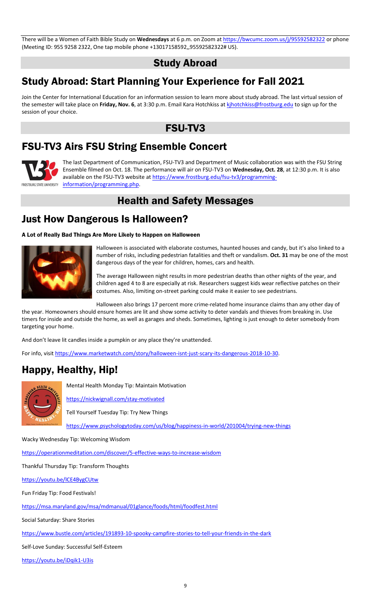There will be a Women of Faith Bible Study on **Wednesdays** at 6 p.m. on Zoom at<https://bwcumc.zoom.us/j/95592582322> or phone (Meeting ID: 955 9258 2322, One tap mobile phone +13017158592,,95592582322# US).

Study Abroad

## Study Abroad: Start Planning Your Experience for Fall 2021

Join the Center for International Education for an information session to learn more about study abroad. The last virtual session of the semester will take place on **Friday, Nov. 6**, at 3:30 p.m. Email Kara Hotchkiss at [kjhotchkiss@frostburg.edu](mailto:kjhotchkiss@frostburg.edu) to sign up for the session of your choice.

#### FSU-TV3

# FSU-TV3 Airs FSU String Ensemble Concert



The last Department of Communication, FSU-TV3 and Department of Music collaboration was with the FSU String Ensemble filmed on Oct. 18. The performance will air on FSU-TV3 on **Wednesday, Oct. 28**, at 12:30 p.m. It is also available on the FSU-TV3 website a[t https://www.frostburg.edu/fsu-tv3/programming-](https://www.frostburg.edu/fsu-tv3/programming-information/programming.php)FROSTBURG STATE UNIVERSITY **[information/programming.php.](https://www.frostburg.edu/fsu-tv3/programming-information/programming.php)** 

## Health and Safety Messages

## Just How Dangerous Is Halloween?

A Lot of Really Bad Things Are More Likely to Happen on Halloween



Halloween is associated with elaborate costumes, haunted houses and candy, but it's also linked to a number of risks, including pedestrian fatalities and theft or vandalism. **Oct. 31** may be one of the most dangerous days of the year for children, homes, cars and health.

The average Halloween night results in more pedestrian deaths than other nights of the year, and children aged 4 to 8 are especially at risk. Researchers suggest kids wear reflective patches on their costumes. Also, limiting on-street parking could make it easier to see pedestrians.

Halloween also brings 17 percent more crime-related home insurance claims than any other day of

the year. Homeowners should ensure homes are lit and show some activity to deter vandals and thieves from breaking in. Use timers for inside and outside the home, as well as garages and sheds. Sometimes, lighting is just enough to deter somebody from targeting your home.

And don't leave lit candles inside a pumpkin or any place they're unattended.

For info, visit [https://www.marketwatch.com/story/halloween-isnt-just-scary-its-dangerous-2018-10-30.](https://www.marketwatch.com/story/halloween-isnt-just-scary-its-dangerous-2018-10-30)

## Happy, Healthy, Hip!



Mental Health Monday Tip: Maintain Motivation

<https://nickwignall.com/stay-motivated>

Tell Yourself Tuesday Tip: Try New Things

<https://www.psychologytoday.com/us/blog/happiness-in-world/201004/trying-new-things>

Wacky Wednesday Tip: Welcoming Wisdom

<https://operationmeditation.com/discover/5-effective-ways-to-increase-wisdom>

Thankful Thursday Tip: Transform Thoughts

<https://youtu.be/lCE4BygCUtw>

Fun Friday Tip: Food Festivals!

<https://msa.maryland.gov/msa/mdmanual/01glance/foods/html/foodfest.html>

Social Saturday: Share Stories

<https://www.bustle.com/articles/191893-10-spooky-campfire-stories-to-tell-your-friends-in-the-dark>

Self-Love Sunday: Successful Self-Esteem

<https://youtu.be/iDqik1-U3is>